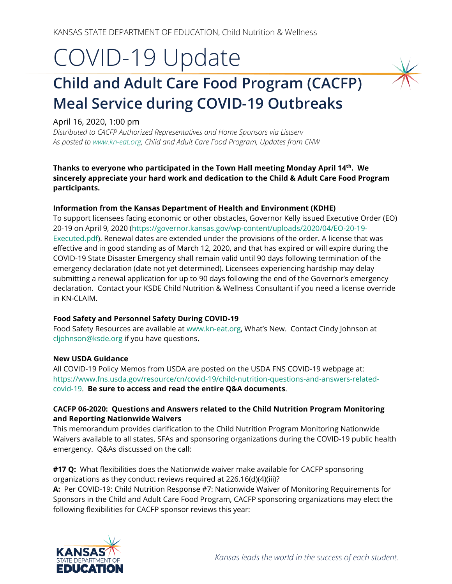# COVID-19 Update

# **Child and Adult Care Food Program (CACFP) Meal Service during COVID-19 Outbreaks**

## April 16, 2020, 1:00 pm

*Distributed to CACFP Authorized Representatives and Home Sponsors via Listserv As posted t[o www.kn-eat.org,](http://www.kn-eat.org/) Child and Adult Care Food Program, Updates from CNW*

**Thanks to everyone who participated in the Town Hall meeting Monday April 14th. We sincerely appreciate your hard work and dedication to the Child & Adult Care Food Program participants.** 

#### **Information from the Kansas Department of Health and Environment (KDHE)**

To support licensees facing economic or other obstacles, Governor Kelly issued Executive Order (EO) 20-19 on April 9, 2020 [\(https://governor.kansas.gov/wp-content/uploads/2020/04/EO-20-19-](https://governor.kansas.gov/wp-content/uploads/2020/04/EO-20-19-Executed.pdf) [Executed.pdf\)](https://governor.kansas.gov/wp-content/uploads/2020/04/EO-20-19-Executed.pdf). Renewal dates are extended under the provisions of the order. A license that was effective and in good standing as of March 12, 2020, and that has expired or will expire during the COVID-19 State Disaster Emergency shall remain valid until 90 days following termination of the emergency declaration (date not yet determined). Licensees experiencing hardship may delay submitting a renewal application for up to 90 days following the end of the Governor's emergency declaration. Contact your KSDE Child Nutrition & Wellness Consultant if you need a license override in KN-CLAIM.

### **Food Safety and Personnel Safety During COVID-19**

Food Safety Resources are available at [www.kn-eat.org,](http://www.kn-eat.org/) What's New. Contact Cindy Johnson at [cljohnson@ksde.org](mailto:cljohnson@ksde.org) if you have questions.

#### **New USDA Guidance**

All COVID-19 Policy Memos from USDA are posted on the USDA FNS COVID-19 webpage at: [https://www.fns.usda.gov/resource/cn/covid-19/child-nutrition-questions-and-answers-related](https://www.fns.usda.gov/resource/cn/covid-19/child-nutrition-questions-and-answers-related-covid-19)[covid-19.](https://www.fns.usda.gov/resource/cn/covid-19/child-nutrition-questions-and-answers-related-covid-19) **Be sure to access and read the entire Q&A documents**.

#### **CACFP 06-2020: Questions and Answers related to the Child Nutrition Program Monitoring and Reporting Nationwide Waivers**

This memorandum provides clarification to the Child Nutrition Program Monitoring Nationwide Waivers available to all states, SFAs and sponsoring organizations during the COVID-19 public health emergency. Q&As discussed on the call:

**#17 Q:** What flexibilities does the Nationwide waiver make available for CACFP sponsoring organizations as they conduct reviews required at 226.16(d)(4)(iii)?

**A:** Per COVID-19: Child Nutrition Response #7: Nationwide Waiver of Monitoring Requirements for Sponsors in the Child and Adult Care Food Program, CACFP sponsoring organizations may elect the following flexibilities for CACFP sponsor reviews this year:

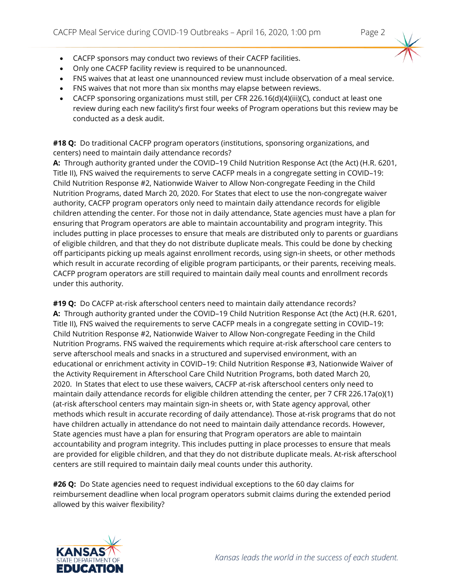- CACFP sponsors may conduct two reviews of their CACFP facilities.
- Only one CACFP facility review is required to be unannounced.
- FNS waives that at least one unannounced review must include observation of a meal service.
- FNS waives that not more than six months may elapse between reviews.
- CACFP sponsoring organizations must still, per CFR 226.16(d)(4)(iii)(C), conduct at least one review during each new facility's first four weeks of Program operations but this review may be conducted as a desk audit.

**#18 Q:** Do traditional CACFP program operators (institutions, sponsoring organizations, and centers) need to maintain daily attendance records?

**A:** Through authority granted under the COVID–19 Child Nutrition Response Act (the Act) (H.R. 6201, Title II), FNS waived the requirements to serve CACFP meals in a congregate setting in COVID–19: Child Nutrition Response #2, Nationwide Waiver to Allow Non-congregate Feeding in the Child Nutrition Programs, dated March 20, 2020. For States that elect to use the non-congregate waiver authority, CACFP program operators only need to maintain daily attendance records for eligible children attending the center. For those not in daily attendance, State agencies must have a plan for ensuring that Program operators are able to maintain accountability and program integrity. This includes putting in place processes to ensure that meals are distributed only to parents or guardians of eligible children, and that they do not distribute duplicate meals. This could be done by checking off participants picking up meals against enrollment records, using sign-in sheets, or other methods which result in accurate recording of eligible program participants, or their parents, receiving meals. CACFP program operators are still required to maintain daily meal counts and enrollment records under this authority.

**#19 Q:** Do CACFP at-risk afterschool centers need to maintain daily attendance records? **A:** Through authority granted under the COVID–19 Child Nutrition Response Act (the Act) (H.R. 6201, Title II), FNS waived the requirements to serve CACFP meals in a congregate setting in COVID–19: Child Nutrition Response #2, Nationwide Waiver to Allow Non-congregate Feeding in the Child Nutrition Programs. FNS waived the requirements which require at-risk afterschool care centers to serve afterschool meals and snacks in a structured and supervised environment, with an educational or enrichment activity in COVID–19: Child Nutrition Response #3, Nationwide Waiver of the Activity Requirement in Afterschool Care Child Nutrition Programs, both dated March 20, 2020. In States that elect to use these waivers, CACFP at-risk afterschool centers only need to maintain daily attendance records for eligible children attending the center, per 7 CFR 226.17a(o)(1) (at-risk afterschool centers may maintain sign-in sheets or, with State agency approval, other methods which result in accurate recording of daily attendance). Those at-risk programs that do not have children actually in attendance do not need to maintain daily attendance records. However, State agencies must have a plan for ensuring that Program operators are able to maintain accountability and program integrity. This includes putting in place processes to ensure that meals are provided for eligible children, and that they do not distribute duplicate meals. At-risk afterschool centers are still required to maintain daily meal counts under this authority.

**#26 Q:** Do State agencies need to request individual exceptions to the 60 day claims for reimbursement deadline when local program operators submit claims during the extended period allowed by this waiver flexibility?

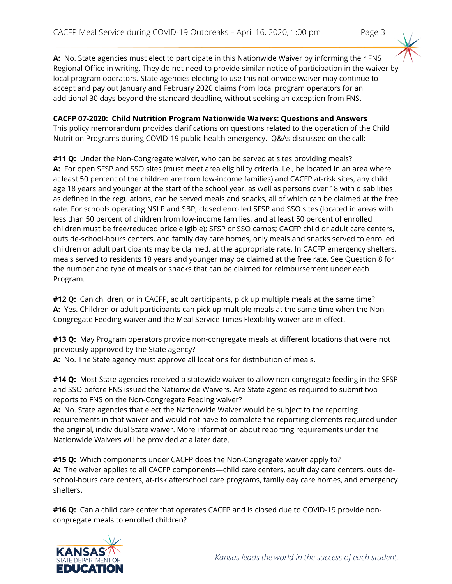**A:** No. State agencies must elect to participate in this Nationwide Waiver by informing their FNS Regional Office in writing. They do not need to provide similar notice of participation in the waiver by local program operators. State agencies electing to use this nationwide waiver may continue to accept and pay out January and February 2020 claims from local program operators for an additional 30 days beyond the standard deadline, without seeking an exception from FNS.

# **CACFP 07-2020: Child Nutrition Program Nationwide Waivers: Questions and Answers**

This policy memorandum provides clarifications on questions related to the operation of the Child Nutrition Programs during COVID-19 public health emergency. Q&As discussed on the call:

**#11 Q:** Under the Non-Congregate waiver, who can be served at sites providing meals? **A:** For open SFSP and SSO sites (must meet area eligibility criteria, i.e., be located in an area where at least 50 percent of the children are from low-income families) and CACFP at-risk sites, any child age 18 years and younger at the start of the school year, as well as persons over 18 with disabilities as defined in the regulations, can be served meals and snacks, all of which can be claimed at the free rate. For schools operating NSLP and SBP; closed enrolled SFSP and SSO sites (located in areas with less than 50 percent of children from low-income families, and at least 50 percent of enrolled children must be free/reduced price eligible); SFSP or SSO camps; CACFP child or adult care centers, outside-school-hours centers, and family day care homes, only meals and snacks served to enrolled children or adult participants may be claimed, at the appropriate rate. In CACFP emergency shelters, meals served to residents 18 years and younger may be claimed at the free rate. See Question 8 for the number and type of meals or snacks that can be claimed for reimbursement under each Program.

**#12 Q:** Can children, or in CACFP, adult participants, pick up multiple meals at the same time? **A:** Yes. Children or adult participants can pick up multiple meals at the same time when the Non-Congregate Feeding waiver and the Meal Service Times Flexibility waiver are in effect.

**#13 Q:** May Program operators provide non-congregate meals at different locations that were not previously approved by the State agency?

**A:** No. The State agency must approve all locations for distribution of meals.

**#14 Q:** Most State agencies received a statewide waiver to allow non-congregate feeding in the SFSP and SSO before FNS issued the Nationwide Waivers. Are State agencies required to submit two reports to FNS on the Non-Congregate Feeding waiver?

**A:** No. State agencies that elect the Nationwide Waiver would be subject to the reporting requirements in that waiver and would not have to complete the reporting elements required under the original, individual State waiver. More information about reporting requirements under the Nationwide Waivers will be provided at a later date.

**#15 Q:** Which components under CACFP does the Non-Congregate waiver apply to? **A:** The waiver applies to all CACFP components—child care centers, adult day care centers, outsideschool-hours care centers, at-risk afterschool care programs, family day care homes, and emergency shelters.

**#16 Q:** Can a child care center that operates CACFP and is closed due to COVID-19 provide noncongregate meals to enrolled children?

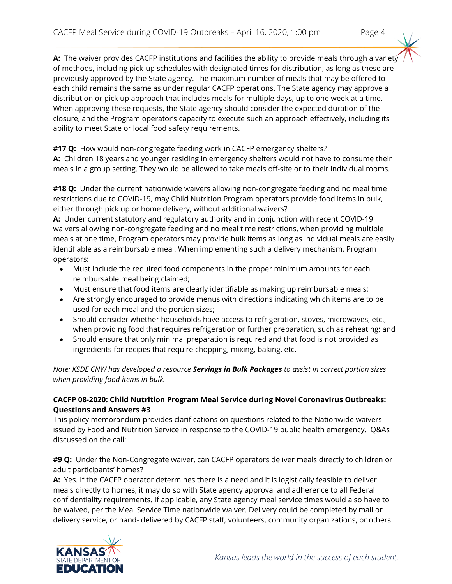**A:** The waiver provides CACFP institutions and facilities the ability to provide meals through a variety of methods, including pick-up schedules with designated times for distribution, as long as these are previously approved by the State agency. The maximum number of meals that may be offered to each child remains the same as under regular CACFP operations. The State agency may approve a distribution or pick up approach that includes meals for multiple days, up to one week at a time. When approving these requests, the State agency should consider the expected duration of the closure, and the Program operator's capacity to execute such an approach effectively, including its ability to meet State or local food safety requirements.

**#17 Q:** How would non-congregate feeding work in CACFP emergency shelters?

**A:** Children 18 years and younger residing in emergency shelters would not have to consume their meals in a group setting. They would be allowed to take meals off-site or to their individual rooms.

**#18 Q:** Under the current nationwide waivers allowing non-congregate feeding and no meal time restrictions due to COVID-19, may Child Nutrition Program operators provide food items in bulk, either through pick up or home delivery, without additional waivers?

**A:** Under current statutory and regulatory authority and in conjunction with recent COVID-19 waivers allowing non-congregate feeding and no meal time restrictions, when providing multiple meals at one time, Program operators may provide bulk items as long as individual meals are easily identifiable as a reimbursable meal. When implementing such a delivery mechanism, Program operators:

- Must include the required food components in the proper minimum amounts for each reimbursable meal being claimed;
- Must ensure that food items are clearly identifiable as making up reimbursable meals;
- Are strongly encouraged to provide menus with directions indicating which items are to be used for each meal and the portion sizes;
- Should consider whether households have access to refrigeration, stoves, microwaves, etc., when providing food that requires refrigeration or further preparation, such as reheating; and
- Should ensure that only minimal preparation is required and that food is not provided as ingredients for recipes that require chopping, mixing, baking, etc.

*Note: KSDE CNW has developed a resource Servings in Bulk Packages to assist in correct portion sizes when providing food items in bulk.*

# **CACFP 08-2020: Child Nutrition Program Meal Service during Novel Coronavirus Outbreaks: Questions and Answers #3**

This policy memorandum provides clarifications on questions related to the Nationwide waivers issued by Food and Nutrition Service in response to the COVID-19 public health emergency. Q&As discussed on the call:

**#9 Q:** Under the Non-Congregate waiver, can CACFP operators deliver meals directly to children or adult participants' homes?

**A:** Yes. If the CACFP operator determines there is a need and it is logistically feasible to deliver meals directly to homes, it may do so with State agency approval and adherence to all Federal confidentiality requirements. If applicable, any State agency meal service times would also have to be waived, per the Meal Service Time nationwide waiver. Delivery could be completed by mail or delivery service, or hand- delivered by CACFP staff, volunteers, community organizations, or others.

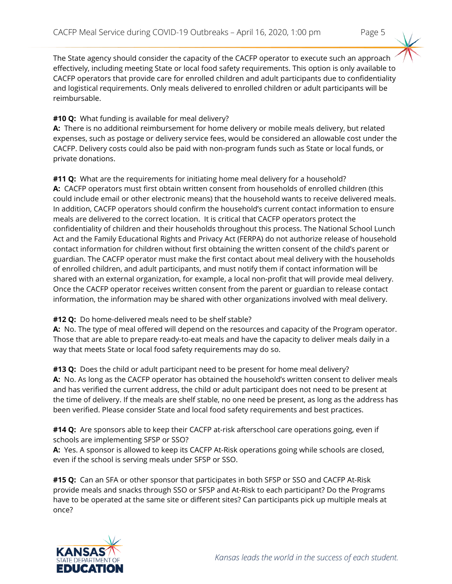The State agency should consider the capacity of the CACFP operator to execute such an approach effectively, including meeting State or local food safety requirements. This option is only available to CACFP operators that provide care for enrolled children and adult participants due to confidentiality and logistical requirements. Only meals delivered to enrolled children or adult participants will be reimbursable.

# **#10 Q:** What funding is available for meal delivery?

**A:** There is no additional reimbursement for home delivery or mobile meals delivery, but related expenses, such as postage or delivery service fees, would be considered an allowable cost under the CACFP. Delivery costs could also be paid with non-program funds such as State or local funds, or private donations.

**#11 Q:** What are the requirements for initiating home meal delivery for a household? **A:** CACFP operators must first obtain written consent from households of enrolled children (this could include email or other electronic means) that the household wants to receive delivered meals. In addition, CACFP operators should confirm the household's current contact information to ensure meals are delivered to the correct location. It is critical that CACFP operators protect the confidentiality of children and their households throughout this process. The National School Lunch Act and the Family Educational Rights and Privacy Act (FERPA) do not authorize release of household contact information for children without first obtaining the written consent of the child's parent or guardian. The CACFP operator must make the first contact about meal delivery with the households of enrolled children, and adult participants, and must notify them if contact information will be shared with an external organization, for example, a local non-profit that will provide meal delivery. Once the CACFP operator receives written consent from the parent or guardian to release contact information, the information may be shared with other organizations involved with meal delivery.

# **#12 Q:** Do home-delivered meals need to be shelf stable?

**A:** No. The type of meal offered will depend on the resources and capacity of the Program operator. Those that are able to prepare ready-to-eat meals and have the capacity to deliver meals daily in a way that meets State or local food safety requirements may do so.

**#13 Q:** Does the child or adult participant need to be present for home meal delivery? **A:** No. As long as the CACFP operator has obtained the household's written consent to deliver meals and has verified the current address, the child or adult participant does not need to be present at the time of delivery. If the meals are shelf stable, no one need be present, as long as the address has been verified. Please consider State and local food safety requirements and best practices.

**#14 Q:** Are sponsors able to keep their CACFP at-risk afterschool care operations going, even if schools are implementing SFSP or SSO?

**A:** Yes. A sponsor is allowed to keep its CACFP At-Risk operations going while schools are closed, even if the school is serving meals under SFSP or SSO.

**#15 Q:** Can an SFA or other sponsor that participates in both SFSP or SSO and CACFP At-Risk provide meals and snacks through SSO or SFSP and At-Risk to each participant? Do the Programs have to be operated at the same site or different sites? Can participants pick up multiple meals at once?